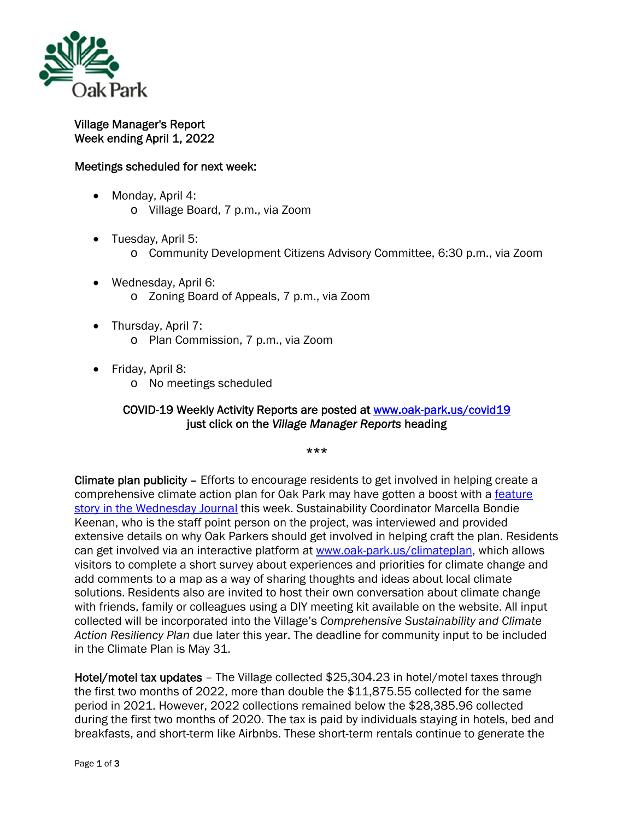

Village Manager's Report Week ending April 1, 2022

## Meetings scheduled for next week:

- Monday, April 4: o Village Board, 7 p.m., via Zoom
- Tuesday, April 5:
	- o Community Development Citizens Advisory Committee, 6:30 p.m., via Zoom
- Wednesday, April 6: o Zoning Board of Appeals, 7 p.m., via Zoom
- Thursday, April 7: o Plan Commission, 7 p.m., via Zoom
- Friday, April 8:
	- o No meetings scheduled

## COVID-19 Weekly Activity Reports are posted at www.oak-park.us/covid19 just click on the *Village Manager Reports* heading

\*\*\*

Climate plan publicity – Efforts to encourage residents to get involved in helping create a comprehensive climate action plan for Oak Park may have gotten a boost with a feature story in the Wednesday Journal this week. Sustainability Coordinator Marcella Bondie Keenan, who is the staff point person on the project, was interviewed and provided extensive details on why Oak Parkers should get involved in helping craft the plan. Residents can get involved via an interactive platform at www.oak-park.us/climateplan, which allows visitors to complete a short survey about experiences and priorities for climate change and add comments to a map as a way of sharing thoughts and ideas about local climate solutions. Residents also are invited to host their own conversation about climate change with friends, family or colleagues using a DIY meeting kit available on the website. All input collected will be incorporated into the Village's *Comprehensive Sustainability and Climate Action Resiliency Plan* due later this year. The deadline for community input to be included in the Climate Plan is May 31.

Hotel/motel tax updates – The Village collected \$25,304.23 in hotel/motel taxes through the first two months of 2022, more than double the \$11,875.55 collected for the same period in 2021. However, 2022 collections remained below the \$28,385.96 collected during the first two months of 2020. The tax is paid by individuals staying in hotels, bed and breakfasts, and short-term like Airbnbs. These short-term rentals continue to generate the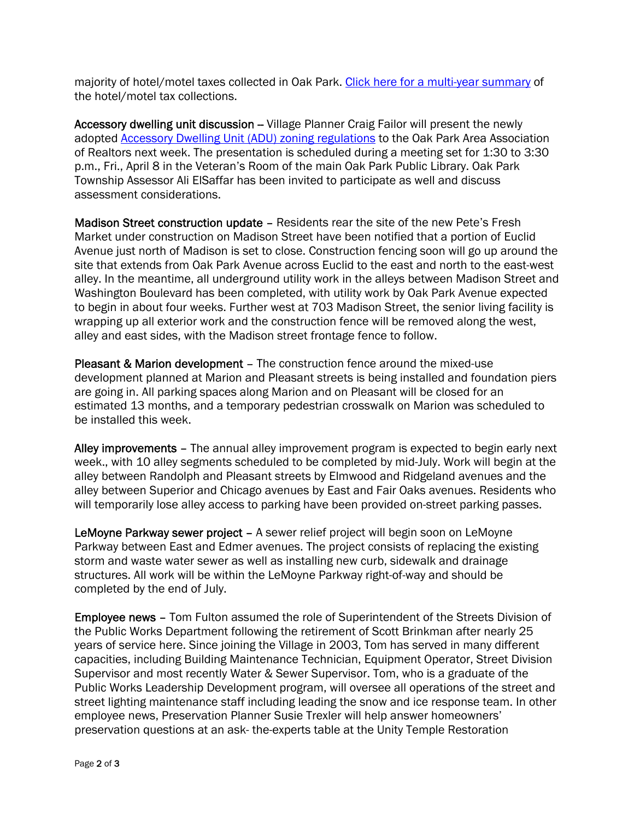majority of hotel/motel taxes collected in Oak Park. Click here for a multi-year summary of the hotel/motel tax collections.

Accessory dwelling unit discussion -- Village Planner Craig Failor will present the newly adopted Accessory Dwelling Unit (ADU) zoning regulations to the Oak Park Area Association of Realtors next week. The presentation is scheduled during a meeting set for 1:30 to 3:30 p.m., Fri., April 8 in the Veteran's Room of the main Oak Park Public Library. Oak Park Township Assessor Ali ElSaffar has been invited to participate as well and discuss assessment considerations.

Madison Street construction update – Residents rear the site of the new Pete's Fresh Market under construction on Madison Street have been notified that a portion of Euclid Avenue just north of Madison is set to close. Construction fencing soon will go up around the site that extends from Oak Park Avenue across Euclid to the east and north to the east-west alley. In the meantime, all underground utility work in the alleys between Madison Street and Washington Boulevard has been completed, with utility work by Oak Park Avenue expected to begin in about four weeks. Further west at 703 Madison Street, the senior living facility is wrapping up all exterior work and the construction fence will be removed along the west, alley and east sides, with the Madison street frontage fence to follow.

Pleasant & Marion development – The construction fence around the mixed-use development planned at Marion and Pleasant streets is being installed and foundation piers are going in. All parking spaces along Marion and on Pleasant will be closed for an estimated 13 months, and a temporary pedestrian crosswalk on Marion was scheduled to be installed this week.

Alley improvements – The annual alley improvement program is expected to begin early next week., with 10 alley segments scheduled to be completed by mid-July. Work will begin at the alley between Randolph and Pleasant streets by Elmwood and Ridgeland avenues and the alley between Superior and Chicago avenues by East and Fair Oaks avenues. Residents who will temporarily lose alley access to parking have been provided on-street parking passes.

LeMoyne Parkway sewer project – A sewer relief project will begin soon on LeMoyne Parkway between East and Edmer avenues. The project consists of replacing the existing storm and waste water sewer as well as installing new curb, sidewalk and drainage structures. All work will be within the LeMoyne Parkway right-of-way and should be completed by the end of July.

Employee news – Tom Fulton assumed the role of Superintendent of the Streets Division of the Public Works Department following the retirement of Scott Brinkman after nearly 25 years of service here. Since joining the Village in 2003, Tom has served in many different capacities, including Building Maintenance Technician, Equipment Operator, Street Division Supervisor and most recently Water & Sewer Supervisor. Tom, who is a graduate of the Public Works Leadership Development program, will oversee all operations of the street and street lighting maintenance staff including leading the snow and ice response team. In other employee news, Preservation Planner Susie Trexler will help answer homeowners' preservation questions at an ask- the-experts table at the Unity Temple Restoration